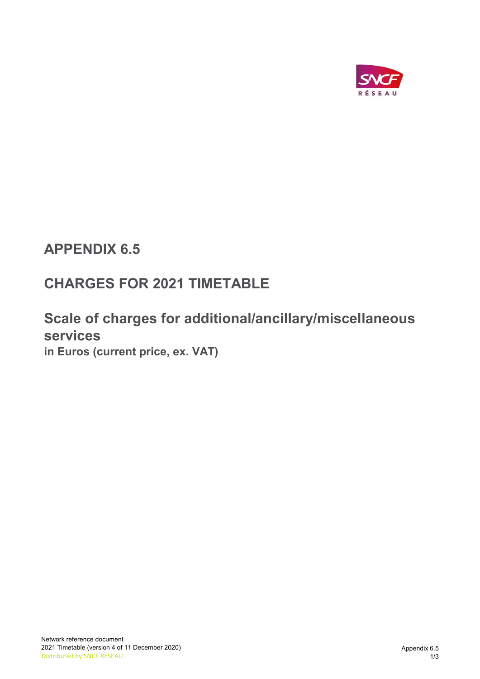

## APPENDIX 6.5

# CHARGES FOR 2021 TIMETABLE

### Scale of charges for additional/ancillary/miscellaneous services in Euros (current price, ex. VAT)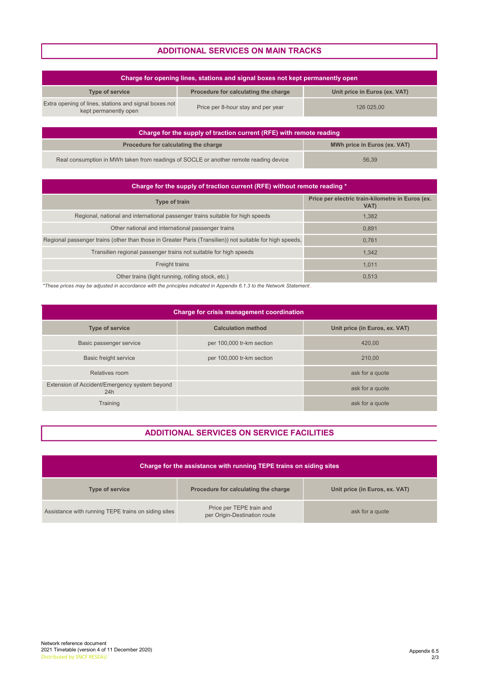### ADDITIONAL SERVICES ON MAIN TRACKS

| Charge for opening lines, stations and signal boxes not kept permanently open  |                                      |                               |
|--------------------------------------------------------------------------------|--------------------------------------|-------------------------------|
| <b>Type of service</b>                                                         | Procedure for calculating the charge | Unit price in Euros (ex. VAT) |
| Extra opening of lines, stations and signal boxes not<br>kept permanently open | Price per 8-hour stay and per year   | 126 025.00                    |

| Charge for the supply of traction current (RFE) with remote reading                   |                              |  |
|---------------------------------------------------------------------------------------|------------------------------|--|
| Procedure for calculating the charge                                                  | MWh price in Euros (ex. VAT) |  |
| Real consumption in MWh taken from readings of SOCLE or another remote reading device | 56.39                        |  |

| Charge for the supply of traction current (RFE) without remote reading *                                 |                                                          |  |
|----------------------------------------------------------------------------------------------------------|----------------------------------------------------------|--|
| <b>Type of train</b>                                                                                     | Price per electric train-kilometre in Euros (ex.<br>VAT) |  |
| Regional, national and international passenger trains suitable for high speeds                           | 1,382                                                    |  |
| Other national and international passenger trains                                                        | 0.891                                                    |  |
| Regional passenger trains (other than those in Greater Paris (Transilien)) not suitable for high speeds, | 0.761                                                    |  |
| Transilien regional passenger trains not suitable for high speeds                                        | 1.342                                                    |  |
| Freight trains                                                                                           | 1.011                                                    |  |
| Other trains (light running, rolling stock, etc.)                                                        | 0.513                                                    |  |

\*These prices may be adjusted in accordance with the principles indicated in Appendix 6.1.3 to the Network Statement .

| Charge for crisis management coordination            |                           |                                |
|------------------------------------------------------|---------------------------|--------------------------------|
| <b>Type of service</b>                               | <b>Calculation method</b> | Unit price (in Euros, ex. VAT) |
| Basic passenger service                              | per 100,000 tr-km section | 420.00                         |
| <b>Basic freight service</b>                         | per 100,000 tr-km section | 210.00                         |
| Relatives room                                       |                           | ask for a quote                |
| Extension of Accident/Emergency system beyond<br>24h |                           | ask for a quote                |
| Training                                             |                           | ask for a quote                |

#### ADDITIONAL SERVICES ON SERVICE FACILITIES

| Charge for the assistance with running TEPE trains on siding sites |                                                          |                                |
|--------------------------------------------------------------------|----------------------------------------------------------|--------------------------------|
| <b>Type of service</b>                                             | Procedure for calculating the charge                     | Unit price (in Euros, ex. VAT) |
| Assistance with running TEPE trains on siding sites                | Price per TEPE train and<br>per Origin-Destination route | ask for a quote                |